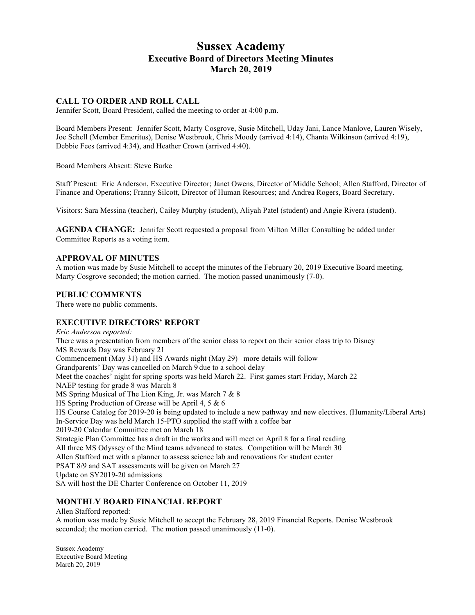# **Sussex Academy Executive Board of Directors Meeting Minutes March 20, 2019**

# **CALL TO ORDER AND ROLL CALL**

Jennifer Scott, Board President, called the meeting to order at 4:00 p.m.

Board Members Present: Jennifer Scott, Marty Cosgrove, Susie Mitchell, Uday Jani, Lance Manlove, Lauren Wisely, Joe Schell (Member Emeritus), Denise Westbrook, Chris Moody (arrived 4:14), Chanta Wilkinson (arrived 4:19), Debbie Fees (arrived 4:34), and Heather Crown (arrived 4:40).

Board Members Absent: Steve Burke

Staff Present: Eric Anderson, Executive Director; Janet Owens, Director of Middle School; Allen Stafford, Director of Finance and Operations; Franny Silcott, Director of Human Resources; and Andrea Rogers, Board Secretary.

Visitors: Sara Messina (teacher), Cailey Murphy (student), Aliyah Patel (student) and Angie Rivera (student).

**AGENDA CHANGE:** Jennifer Scott requested a proposal from Milton Miller Consulting be added under Committee Reports as a voting item.

## **APPROVAL OF MINUTES**

A motion was made by Susie Mitchell to accept the minutes of the February 20, 2019 Executive Board meeting. Marty Cosgrove seconded; the motion carried. The motion passed unanimously (7-0).

## **PUBLIC COMMENTS**

There were no public comments.

# **EXECUTIVE DIRECTORS' REPORT**

*Eric Anderson reported:* There was a presentation from members of the senior class to report on their senior class trip to Disney MS Rewards Day was February 21 Commencement (May 31) and HS Awards night (May 29) –more details will follow Grandparents' Day was cancelled on March 9 due to a school delay Meet the coaches' night for spring sports was held March 22. First games start Friday, March 22 NAEP testing for grade 8 was March 8 MS Spring Musical of The Lion King, Jr. was March 7 & 8 HS Spring Production of Grease will be April 4, 5 & 6 HS Course Catalog for 2019-20 is being updated to include a new pathway and new electives. (Humanity/Liberal Arts) In-Service Day was held March 15-PTO supplied the staff with a coffee bar 2019-20 Calendar Committee met on March 18 Strategic Plan Committee has a draft in the works and will meet on April 8 for a final reading All three MS Odyssey of the Mind teams advanced to states. Competition will be March 30 Allen Stafford met with a planner to assess science lab and renovations for student center PSAT 8/9 and SAT assessments will be given on March 27 Update on SY2019-20 admissions SA will host the DE Charter Conference on October 11, 2019

# **MONTHLY BOARD FINANCIAL REPORT**

Allen Stafford reported:

A motion was made by Susie Mitchell to accept the February 28, 2019 Financial Reports. Denise Westbrook seconded; the motion carried. The motion passed unanimously  $(11-0)$ .

Sussex Academy Executive Board Meeting March 20, 2019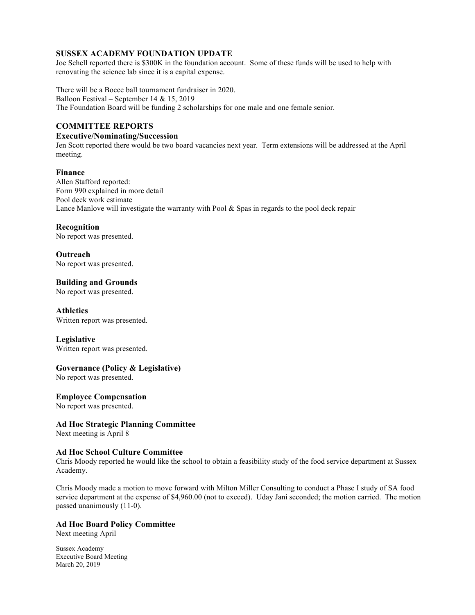## **SUSSEX ACADEMY FOUNDATION UPDATE**

Joe Schell reported there is \$300K in the foundation account. Some of these funds will be used to help with renovating the science lab since it is a capital expense.

There will be a Bocce ball tournament fundraiser in 2020. Balloon Festival – September 14 & 15, 2019 The Foundation Board will be funding 2 scholarships for one male and one female senior.

# **COMMITTEE REPORTS**

#### **Executive/Nominating/Succession**

Jen Scott reported there would be two board vacancies next year. Term extensions will be addressed at the April meeting.

### **Finance**

Allen Stafford reported: Form 990 explained in more detail Pool deck work estimate Lance Manlove will investigate the warranty with Pool & Spas in regards to the pool deck repair

### **Recognition**

No report was presented.

**Outreach** No report was presented.

**Building and Grounds**

No report was presented.

**Athletics** Written report was presented.

**Legislative** Written report was presented.

# **Governance (Policy & Legislative)**

No report was presented.

### **Employee Compensation**

No report was presented.

### **Ad Hoc Strategic Planning Committee**

Next meeting is April 8

## **Ad Hoc School Culture Committee**

Chris Moody reported he would like the school to obtain a feasibility study of the food service department at Sussex Academy.

Chris Moody made a motion to move forward with Milton Miller Consulting to conduct a Phase I study of SA food service department at the expense of \$4,960.00 (not to exceed). Uday Jani seconded; the motion carried. The motion passed unanimously (11-0).

### **Ad Hoc Board Policy Committee**

Next meeting April

Sussex Academy Executive Board Meeting March 20, 2019